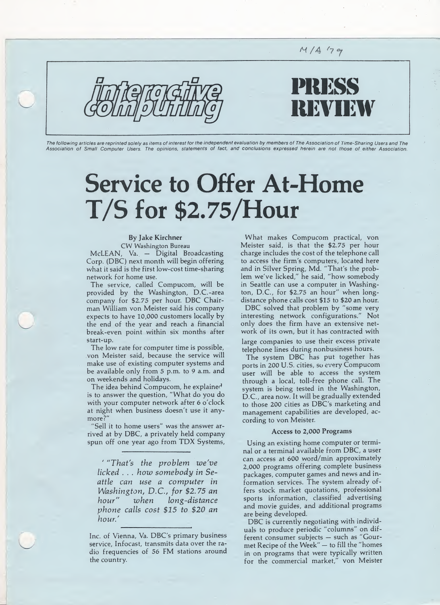DRKSS **NYINY** 

 $M / A$  (79

The following articles are reprinted solely as items of interest for the independent evaluation by members of The Association of Time-Sharing Users and The Association of Small Computer Users. The opinions, statements of fact, and conclusions expressed herein are not those of either Association.

# Service to Offer At-Home T/S for \$2.75/Hour

### By Jake Kirchner

CW Washington Bureau McLEAN, Va. — Digital Broadcasting Corp. (DBC) next month will begin offering what it said is the first low-cost time-sharing network for home use.

The service, called Compucom, will be provided by the Washington, D.C.-area company for \$2.75 per hour. DBC Chairman William von Meister said his company expects to have 10,000 customers locally by the end of the year and reach a financial break-even point within six months after start-up.

The low rate for computer time is possible, von Meister said, because the service will make use of existing computer systems and be available only from 5 p.m. to 9 a.m. and on weekends and holidays.

The idea behind Compucom, he explained is to answer the question, "What do you do with your computer network after 6 o'clock at night when business doesn't use it anymore?"

'Sell it to home users" was the answer arrived at by DBC, a privately held company spun off one year ago from TDX Systems,

' "That's the problem we've licked . . . how somebody in Seattle can use a computer in Washington, D.C., for \$2.75 an hour" when long-distance phone calls cost \$15 to \$20 an hour.'

Inc. of Vienna, Va. DBC's primary business service, Infocast, transmits data over the radio frequencies of 56 FM stations around the country.

What makes Compucom practical, von Meister said, is that the \$2.75 per hour charge includes the cost of the telephone call to access the firm's computers, located here and in Silver Spring, Md. "That's the problem we've licked," he said, "how somebody in Seattle can use a computer in Washington, D.C., for  $$2.75$  an hour" when longdistance phone calls cost \$15 to \$20 an hour.

DBC solved that problem by "some very interesting network configurations." Not only does the firm have an extensive network of its own, but it has contracted with

large companies to use their excess private telephone lines during nonbusiness hours.

The system DBC has put together has ports in 200 U.S. cities, so every Compucom user will be able to access the system through a local, toll-free phone call. The system is being tested in the Washington, D.C., area now. It will be gradually extended to those 200 cities as DBC's marketing and management capabilities are developed, according to von Meister.

#### Access to 2,000 Programs

Using an existing home computer or terminal or a terminal available from DBC, a user can access at 600 word/min approximately 2,000 programs offering complete business packages, computer games and news and in formation services. The system already offers stock market quotations, professional sports information, classified advertising and movie guides, and additional programs are being developed.

DBC is currently negotiating with individuals to produce periodic "columns" on different consumer subjects - such as "Gourmet Recipe of the Week" — to fill the "homes in on programs that were typically written for the commercial market," von Meister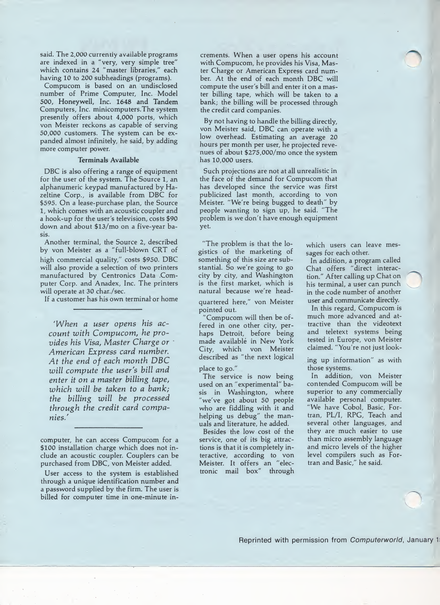said. The 2,000 currently available programs are indexed in a "very, very simple tree" which contains 24 "master libraries," each having 10 to 200 subheadings (programs).

Compucom is based on an undisclosed number of Prime Computer, Inc. Model 500, Honeywell, Inc. 1648 and Tandem Computers, Inc. minicomputers.The system presently offers about 4,000 ports, which von Meister reckons as capable of serving 50,000 customers. The system can be ex panded almost infinitely, he said, by adding more computer power.

#### Terminals Available

DBC is also offering a range of equipment for the user of the system. The Source 1, an alphanumeric keypad manufactured by Hazeltine Corp., is available from DBC for \$595. On a lease-purchase plan, the Source 1, which comes with an acoustic coupler and a hook-up for the user's television, costs \$90 down and about \$13/mo on a five-year basis.

Another terminal, the Source 2, described by von Meister as a "full-blown CRT of high commercial quality," costs \$950. DBC will also provide a selection of two printers manufactured by Centronics Data .Com puter Corp. and Anadex, Inc. The printers will operate at 30 char./sec.

If a customer has his own terminat or home

'When a user opens his account with Compucom, he provides his Visa, Master Charge or American Express card number. At the end of each month DBC will compute the user's bill and enter it on a master billing tape, which will be taken to a bank; the billing will be processed through the credit card companies/

computer, he can access Compucom for a \$100 installation charge which does not include an acoustic coupler. Couplers can be purchased from DBC, von Meister added.

User access to the system is established through a unique identification number and a password supplied by the firm. The user is billed for computer time in one-minute increments. When a user opens his account with Compucom, he provides his Visa, Master Charge or American Express card num ber. At the end of each month DBC will compute the user's bill and enter it on a master billing tape, which will be taken to a bank; the billing will be processed through the credit card companies.

By not having to handle the billing directly, von Meister said, DBC can operate with a low overhead. Estimating an average 20 hours per month per user, he projected revenues of about \$275,000/mo once the system has 10,000 users.

Such projections are not at all unrealistic in the face of the demand for Compucom that has developed since the service was first publicized last month, according to von Meister. "We're being bugged to death" by people wanting to sign up, he said. "The problem is we don't have enough equipment yet.

"The problem is that the logistics of the marketing of something of this size are substantial. So we're going to go city by city, and Washington is the first market, which is natural because we're head-

quartered here," von Meister pointed out.

'Compucom will then be offered in one other city, perhaps Detroit, before being made available in New York City, which von Meister described as "the next logical

place to go."

The service is now being used on an "experimental" basis in Washington, where "we've got about 50 people who are fiddling with it and helping us debug" the manuals and literature, he added.

Besides the low cost of the service, one of its big attractions is that it is completely in teractive, according to von Meister. It offers an "elec tronic mail box" through

which users can leave messages for each other.

In addition, a program called Chat offers "direct interaction." After calling up Chat on his terminal, a user can punch in the code number of another user and communicate directly.

In this regard, Compucom is much more advanced and attractive than the videotext and teletext systems being tested in Europe, von Meister claimed. "You're not just look-

ing up information" as with those systems.

In addition, von Meister contended Compucom will be superior to any commercially available personal computer. "We have Cobol, Basic, Fortran, PL/I, RPG, Teach and several other languages, and they are much easier to use than micro assembly language and micro levels of the higher level compilers such as Fortran and Basic," he said.

Reprinted with permission from Computerworld, January 1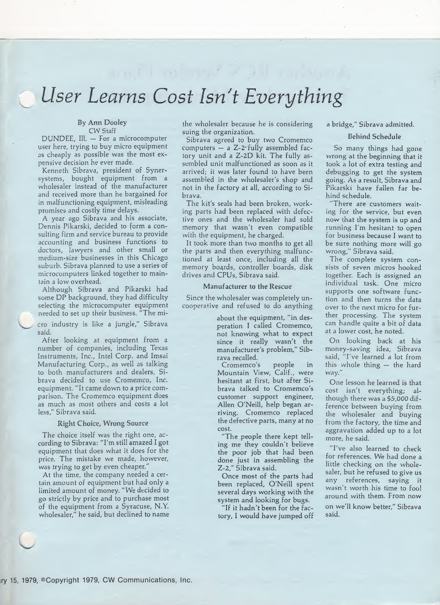## User Learns Cost Isn't Everything

 $\label{eq:3.1} \begin{split} \frac{1}{2} \left( \frac{d^2}{2} \right)^2 & = \frac{d^2}{2} \left( \frac{d^2}{2} \right)^2 + \frac{d^2}{2} \left( \frac{d^2}{2} \right)^2 + \frac{d^2}{2} \left( \frac{d^2}{2} \right)^2 + \frac{d^2}{2} \left( \frac{d^2}{2} \right)^2 + \frac{d^2}{2} \left( \frac{d^2}{2} \right)^2 + \frac{d^2}{2} \left( \frac{d^2}{2} \right)^2 + \frac{d^2}{2} \left( \frac{d^2}{2} \right)^2$ 

#### By Ann Dooley CW Staff

DUNDEE, Ill. — For a microcomputer user here, trying to buy micro equipment as cheaply as possible was the most expensive decision he ever made.

Kenneth Sibrava, president of Synersystems, bought equipment from a wholesaler instead of the manufacturer and received more than he bargained for in malfunctioning equipment, misleading promises and costly time delays.

A year ago Sibrava and his associate, Dennis Pikarski, decided to form a consulting firm and service bureau to provide accounting and business functions to doctors, lawyers and other small or medium-size businesses in this Chicago suburb. Sibrava planned to use a series of microcomputers linked together to maintain a low overhead.

Although Sibrava and Pikarski had some DP background, they had difficulty selecting the microcomputer equipment needed to set up their business. "The mi-

cro industry is like a jungle," Sibrava said.

After looking at equipment from a number of companies, including Texas Instruments, Inc., Intel Corp. and Imsai Manufacturing Corp., as well as talking to both manufacturers and dealers, Sibrava decided to use Cromemco, Inc. equipment. "It came down to a price com parison. The Cromemco equipment does as much as most others and costs a lot less," Sibrava said.

#### Right Choice, Wrong Source

The choice itself was the right one, according to Sibrava: "I'm still amazed I got equipment that does what it does for the price. The mistake we made, however, was trying to get by even cheaper."

At the time, the company needed a certain amount of equipment but had only a limited amount of money. "We decided to go strictly by price and to purchase most of the equipment from a Syracuse, N.Y. wholesaler," he said, but declined to name the wholesaler because he is considering suing the organization.

Sibrava agreed to buy two Cromemco computers  $-$  a Z-2-fully assembled factory unit and a Z-2D kit. The fully assembled unit malfunctioned as soon as it arrived; it was later found to have been assembled in the wholesaler's shop and not in the factory at all, according to Sibrava.

The kit's seals had been broken, working parts had been replaced with defective ones and the wholesaler had sold memory that wasn't even compatible with the equipment, he charged.

It took more than two months to get all the parts and then everything malfunctioned at least once, including all the memory boards, controller boards, disk drives and CPUs, Sibrava said.

#### Manufacturer to the Rescue

Since the wholesaler was completely un cooperative and refused to do anything

> about the equipment, "in desperation I called Cromemco, not knowing what to expect since it really wasn't the manufacturer's problem," Sib rava recalled.

Cromemco's people in Mountain View, Calif., were hesitant at first, but after Sibrava talked to Cromemco's customer support engineer, Allen O'Neill, help began arriving. Cromemco replaced the defective parts, many at no cost.

"The people there kept tell ing me they couldn't believe the poor job that had been done just in assembling the Z-2," Sibrava said.

Once most of the parts had been replaced, O'Neill spent several days working with the system and looking for bugs.

"If it hadn't been for the fac tory, <sup>I</sup> would have jumped off

#### a bridge," Sibrava admitted.

#### Behind Schedule

So many things had gone wrong at the beginning that it took a lot of extra testing and debugging to get the system going. As a result, Sibrava and Pikarski have fallen far behind schedule.

There are customers waiting for the service, but even now that the system is up and running I'm hesitant to open for business because I want to be sure nothing more will go wrong," Sibrava said.

The complete system consists of seven micros hooked together. Each is assigned an individual task. One micro supports one software function and then turns the data over to the next micro for further processing. The system can handle quite a bit of data at a lower cost, he noted.

On looking back at his money-saving idea, Sibrava said, "I've learned a lot from this whole thing — the hard way."

One lesson he learned is that cost isn't everything; although there was a \$5,000 difference between buying from the wholesaler and buying from the factory, the time and aggravation added up to a lot more, he said.

"I've also learned to check for references. We had done a little checking on the wholesaler, but he refused to give us any references, saying it wasn't worth his time to fool around with them. From now on we'll know better," Sibrava said.